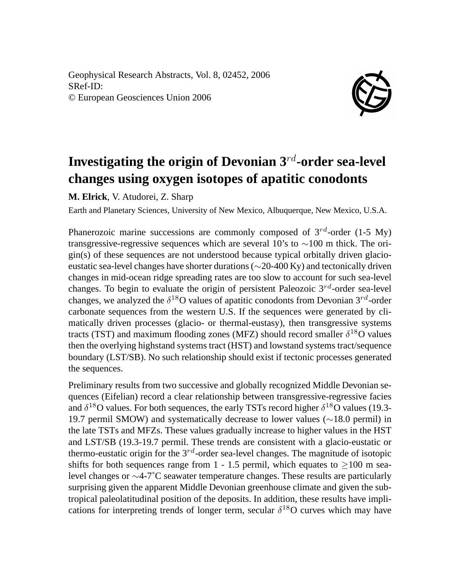Geophysical Research Abstracts, Vol. 8, 02452, 2006 SRef-ID: © European Geosciences Union 2006



## **Investigating the origin of Devonian 3**rd**-order sea-level changes using oxygen isotopes of apatitic conodonts**

**M. Elrick**, V. Atudorei, Z. Sharp

Earth and Planetary Sciences, University of New Mexico, Albuquerque, New Mexico, U.S.A.

Phanerozoic marine successions are commonly composed of  $3^{rd}$ -order (1-5 My) transgressive-regressive sequences which are several 10's to ∼100 m thick. The origin(s) of these sequences are not understood because typical orbitally driven glacioeustatic sea-level changes have shorter durations (∼20-400 Ky) and tectonically driven changes in mid-ocean ridge spreading rates are too slow to account for such sea-level changes. To begin to evaluate the origin of persistent Paleozoic  $3^{rd}$ -order sea-level changes, we analyzed the  $\delta^{18}O$  values of apatitic conodonts from Devonian  $3^{rd}$ -order carbonate sequences from the western U.S. If the sequences were generated by climatically driven processes (glacio- or thermal-eustasy), then transgressive systems tracts (TST) and maximum flooding zones (MFZ) should record smaller  $\delta^{18}O$  values then the overlying highstand systems tract (HST) and lowstand systems tract/sequence boundary (LST/SB). No such relationship should exist if tectonic processes generated the sequences.

Preliminary results from two successive and globally recognized Middle Devonian sequences (Eifelian) record a clear relationship between transgressive-regressive facies and  $\delta^{18}$ O values. For both sequences, the early TSTs record higher  $\delta^{18}$ O values (19.3-19.7 permil SMOW) and systematically decrease to lower values (∼18.0 permil) in the late TSTs and MFZs. These values gradually increase to higher values in the HST and LST/SB (19.3-19.7 permil. These trends are consistent with a glacio-eustatic or thermo-eustatic origin for the  $3^{rd}$ -order sea-level changes. The magnitude of isotopic shifts for both sequences range from 1 - 1.5 permil, which equates to  $>100$  m sealevel changes or ∼4-7˚C seawater temperature changes. These results are particularly surprising given the apparent Middle Devonian greenhouse climate and given the subtropical paleolatitudinal position of the deposits. In addition, these results have implications for interpreting trends of longer term, secular  $\delta^{18}$ O curves which may have